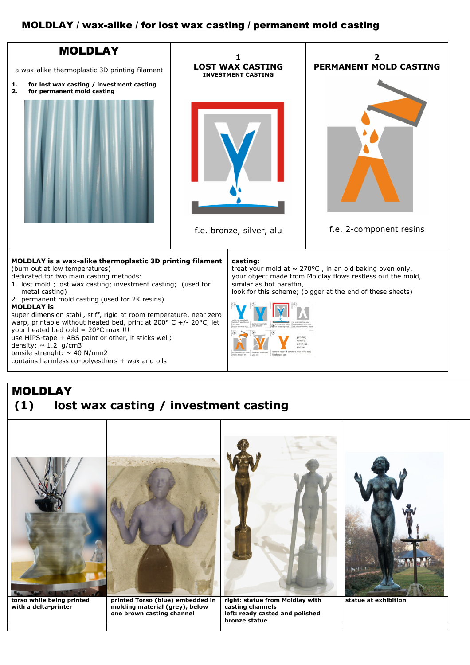## MOLDLAY / wax-alike / for lost wax casting / permanent mold casting



## MOLDLAY **(1) lost wax casting / investment casting**